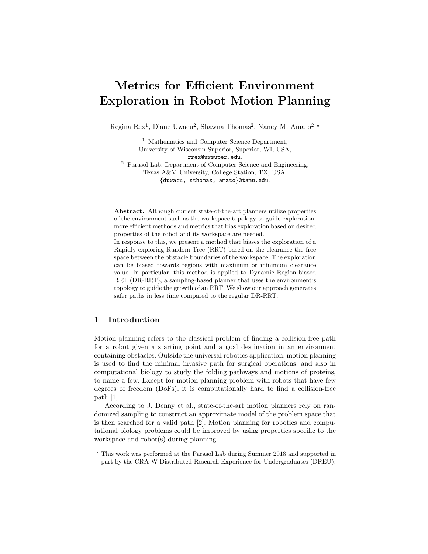# Metrics for Efficient Environment Exploration in Robot Motion Planning

Regina  $\text{Rex}^1$ , Diane Uwacu<sup>2</sup>, Shawna Thomas<sup>2</sup>, Nancy M. Amato<sup>2</sup> \*

<sup>1</sup> Mathematics and Computer Science Department, University of Wisconsin-Superior, Superior, WI, USA, rrex@uwsuper.edu. <sup>2</sup> Parasol Lab, Department of Computer Science and Engineering,

Texas A&M University, College Station, TX, USA, {duwacu, sthomas, amato}@tamu.edu.

Abstract. Although current state-of-the-art planners utilize properties of the environment such as the workspace topology to guide exploration, more efficient methods and metrics that bias exploration based on desired properties of the robot and its workspace are needed.

In response to this, we present a method that biases the exploration of a Rapidly-exploring Random Tree (RRT) based on the clearance-the free space between the obstacle boundaries of the workspace. The exploration can be biased towards regions with maximum or minimum clearance value. In particular, this method is applied to Dynamic Region-biased RRT (DR-RRT), a sampling-based planner that uses the environment's topology to guide the growth of an RRT. We show our approach generates safer paths in less time compared to the regular DR-RRT.

## 1 Introduction

Motion planning refers to the classical problem of finding a collision-free path for a robot given a starting point and a goal destination in an environment containing obstacles. Outside the universal robotics application, motion planning is used to find the minimal invasive path for surgical operations, and also in computational biology to study the folding pathways and motions of proteins, to name a few. Except for motion planning problem with robots that have few degrees of freedom (DoFs), it is computationally hard to find a collision-free path [1].

According to J. Denny et al., state-of-the-art motion planners rely on randomized sampling to construct an approximate model of the problem space that is then searched for a valid path [2]. Motion planning for robotics and computational biology problems could be improved by using properties specific to the workspace and robot(s) during planning.

<sup>?</sup> This work was performed at the Parasol Lab during Summer 2018 and supported in part by the CRA-W Distributed Research Experience for Undergraduates (DREU).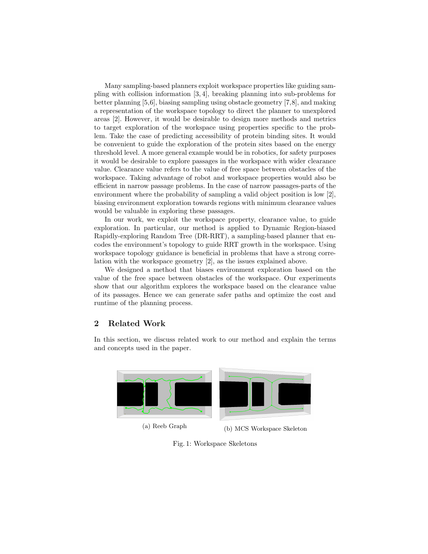Many sampling-based planners exploit workspace properties like guiding sampling with collision information [3, 4], breaking planning into sub-problems for better planning [5,6], biasing sampling using obstacle geometry [7,8], and making a representation of the workspace topology to direct the planner to unexplored areas [2]. However, it would be desirable to design more methods and metrics to target exploration of the workspace using properties specific to the problem. Take the case of predicting accessibility of protein binding sites. It would be convenient to guide the exploration of the protein sites based on the energy threshold level. A more general example would be in robotics, for safety purposes it would be desirable to explore passages in the workspace with wider clearance value. Clearance value refers to the value of free space between obstacles of the workspace. Taking advantage of robot and workspace properties would also be efficient in narrow passage problems. In the case of narrow passages-parts of the environment where the probability of sampling a valid object position is low [2], biasing environment exploration towards regions with minimum clearance values would be valuable in exploring these passages.

In our work, we exploit the workspace property, clearance value, to guide exploration. In particular, our method is applied to Dynamic Region-biased Rapidly-exploring Random Tree (DR-RRT), a sampling-based planner that encodes the environment's topology to guide RRT growth in the workspace. Using workspace topology guidance is beneficial in problems that have a strong correlation with the workspace geometry [2], as the issues explained above.

We designed a method that biases environment exploration based on the value of the free space between obstacles of the workspace. Our experiments show that our algorithm explores the workspace based on the clearance value of its passages. Hence we can generate safer paths and optimize the cost and runtime of the planning process.

# 2 Related Work

In this section, we discuss related work to our method and explain the terms and concepts used in the paper.



Fig. 1: Workspace Skeletons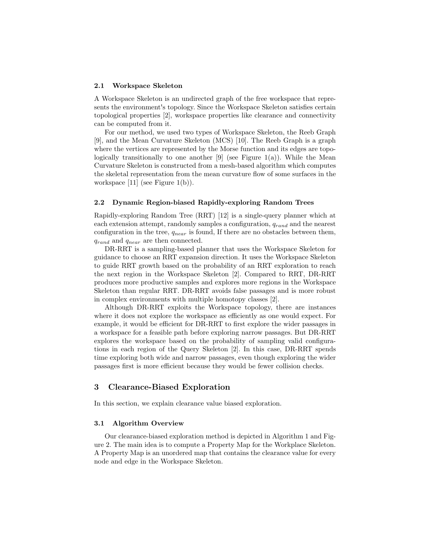#### 2.1 Workspace Skeleton

A Workspace Skeleton is an undirected graph of the free workspace that represents the environment's topology. Since the Workspace Skeleton satisfies certain topological properties [2], workspace properties like clearance and connectivity can be computed from it.

For our method, we used two types of Workspace Skeleton, the Reeb Graph [9], and the Mean Curvature Skeleton (MCS) [10]. The Reeb Graph is a graph where the vertices are represented by the Morse function and its edges are topologically transitionally to one another [9] (see Figure 1(a)). While the Mean Curvature Skeleton is constructed from a mesh-based algorithm which computes the skeletal representation from the mean curvature flow of some surfaces in the workspace [11] (see Figure  $1(b)$ ).

#### 2.2 Dynamic Region-biased Rapidly-exploring Random Trees

Rapidly-exploring Random Tree (RRT) [12] is a single-query planner which at each extension attempt, randomly samples a configuration,  $q_{rand}$  and the nearest configuration in the tree,  $q_{near}$  is found, If there are no obstacles between them,  $q_{rand}$  and  $q_{near}$  are then connected.

DR-RRT is a sampling-based planner that uses the Workspace Skeleton for guidance to choose an RRT expansion direction. It uses the Workspace Skeleton to guide RRT growth based on the probability of an RRT exploration to reach the next region in the Workspace Skeleton [2]. Compared to RRT, DR-RRT produces more productive samples and explores more regions in the Workspace Skeleton than regular RRT. DR-RRT avoids false passages and is more robust in complex environments with multiple homotopy classes [2].

Although DR-RRT exploits the Workspace topology, there are instances where it does not explore the workspace as efficiently as one would expect. For example, it would be efficient for DR-RRT to first explore the wider passages in a workspace for a feasible path before exploring narrow passages. But DR-RRT explores the workspace based on the probability of sampling valid configurations in each region of the Query Skeleton [2]. In this case, DR-RRT spends time exploring both wide and narrow passages, even though exploring the wider passages first is more efficient because they would be fewer collision checks.

#### 3 Clearance-Biased Exploration

In this section, we explain clearance value biased exploration.

#### 3.1 Algorithm Overview

Our clearance-biased exploration method is depicted in Algorithm 1 and Figure 2. The main idea is to compute a Property Map for the Workplace Skeleton. A Property Map is an unordered map that contains the clearance value for every node and edge in the Workspace Skeleton.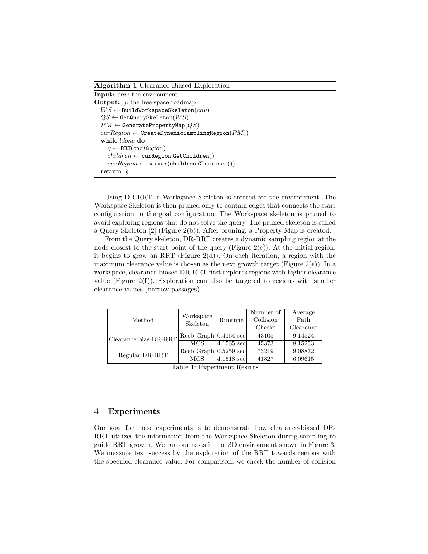Algorithm 1 Clearance-Biased Exploration

| <b>Input:</b> env: the environment                           |  |  |  |  |  |
|--------------------------------------------------------------|--|--|--|--|--|
| <b>Output:</b> $q$ : the free-space roadmap                  |  |  |  |  |  |
| $WS \leftarrow$ BuildWorkspaceSkeleton $(\textit{env})$      |  |  |  |  |  |
| $QS \leftarrow$ GetQuerySkeleton $(WS)$                      |  |  |  |  |  |
| $PM \leftarrow$ GeneratePropertyMap $(QS)$                   |  |  |  |  |  |
| $curRegion \leftarrow$ CreateDynamicSamplingRegion( $PM_0$ ) |  |  |  |  |  |
| while <i>done</i> do                                         |  |  |  |  |  |
| $g \leftarrow \text{RRT}(curRegion)$                         |  |  |  |  |  |
| $children \leftarrow \text{curRegion.GetChildren}()$         |  |  |  |  |  |
| $curRegion \leftarrow$ maxvar(children.Clearance())          |  |  |  |  |  |
| return<br>$\boldsymbol{q}$                                   |  |  |  |  |  |

Using DR-RRT, a Workspace Skeleton is created for the environment. The Workspace Skeleton is then pruned only to contain edges that connects the start configuration to the goal configuration. The Workspace skeleton is pruned to avoid exploring regions that do not solve the query. The pruned skeleton is called a Query Skeleton [2] (Figure 2(b)). After pruning, a Property Map is created.

From the Query skeleton, DR-RRT creates a dynamic sampling region at the node closest to the start point of the query (Figure  $2(c)$ ). At the initial region, it begins to grow an RRT (Figure 2(d)). On each iteration, a region with the maximum clearance value is chosen as the next growth target (Figure  $2(e)$ ). In a workspace, clearance-biased DR-RRT first explores regions with higher clearance value (Figure  $2(f)$ ). Exploration can also be targeted to regions with smaller clearance values (narrow passages).

| Method                | Workspace<br>Skeleton             | Runtime                | Number of | Average   |
|-----------------------|-----------------------------------|------------------------|-----------|-----------|
|                       |                                   |                        | Collision | Path      |
|                       |                                   |                        | Checks    | Clearance |
| Clearance bias DR-RRT | Reeb Graph $ 0.4164 \text{ sec} $ |                        | 43105     | 9.14524   |
|                       | <b>MCS</b>                        | 4.1565 sec             | 45373     | 8.15253   |
| Regular DR-RRT        | Reeb Graph $ 0.5259 \text{ sec} $ |                        | 73219     | 9.08872   |
|                       | <b>MCS</b>                        | $ 4.1518 \text{ sec} $ | 41827     | 6.09615   |

Table 1: Experiment Results

# 4 Experiments

Our goal for these experiments is to demonstrate how clearance-biased DR-RRT utilizes the information from the Workspace Skeleton during sampling to guide RRT growth. We ran our tests in the 3D environment shown in Figure 3. We measure test success by the exploration of the RRT towards regions with the specified clearance value. For comparison, we check the number of collision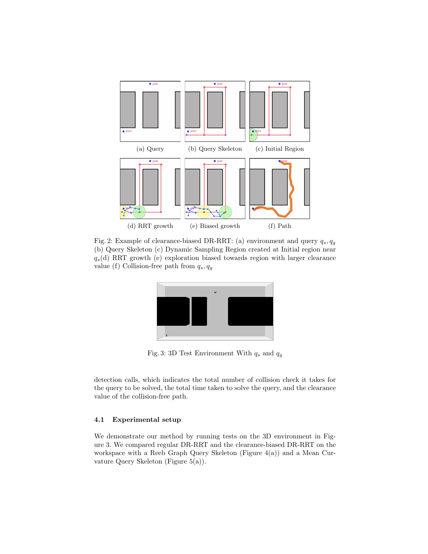

Fig. 2: Example of clearance-biased DR-RRT: (a) environment and query  $q_s, q_g$ (b) Query Skeleton (c) Dynamic Sampling Region created at Initial region near  $q_s(d)$  RRT growth (e) exploration biased towards region with larger clearance value (f) Collision-free path from  $q_s, q_g$ 



Fig. 3: 3D Test Environment With  $q_s$  and  $q_g$ 

detection calls, which indicates the total number of collision check it takes for the query to be solved, the total time taken to solve the query, and the clearance value of the collision-free path.

#### 4.1 Experimental setup

We demonstrate our method by running tests on the 3D environment in Figure 3. We compared regular DR-RRT and the clearance-biased DR-RRT on the workspace with a Reeb Graph Query Skeleton (Figure 4(a)) and a Mean Curvature Query Skeleton (Figure 5(a)).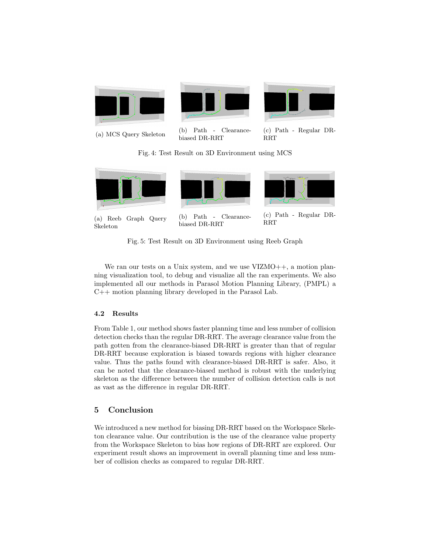

(a) MCS Query Skeleton (b) Path - Clearancebiased DR-RRT

(c) Path - Regular DR-RRT

Fig. 4: Test Result on 3D Environment using MCS



Fig. 5: Test Result on 3D Environment using Reeb Graph

We ran our tests on a Unix system, and we use VIZMO++, a motion planning visualization tool, to debug and visualize all the ran experiments. We also implemented all our methods in Parasol Motion Planning Library, (PMPL) a C++ motion planning library developed in the Parasol Lab.

#### 4.2 Results

From Table 1, our method shows faster planning time and less number of collision detection checks than the regular DR-RRT. The average clearance value from the path gotten from the clearance-biased DR-RRT is greater than that of regular DR-RRT because exploration is biased towards regions with higher clearance value. Thus the paths found with clearance-biased DR-RRT is safer. Also, it can be noted that the clearance-biased method is robust with the underlying skeleton as the difference between the number of collision detection calls is not as vast as the difference in regular DR-RRT.

# 5 Conclusion

We introduced a new method for biasing DR-RRT based on the Workspace Skeleton clearance value. Our contribution is the use of the clearance value property from the Workspace Skeleton to bias how regions of DR-RRT are explored. Our experiment result shows an improvement in overall planning time and less number of collision checks as compared to regular DR-RRT.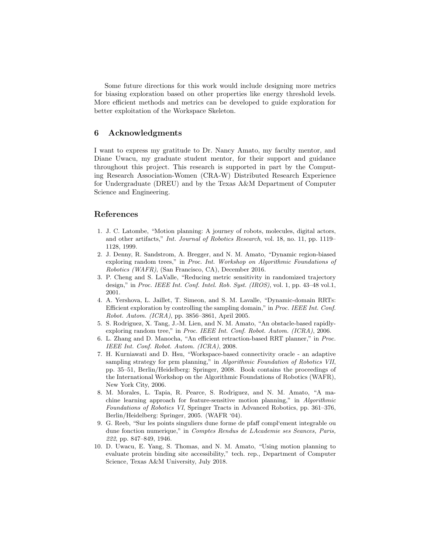Some future directions for this work would include designing more metrics for biasing exploration based on other properties like energy threshold levels. More efficient methods and metrics can be developed to guide exploration for better exploitation of the Workspace Skeleton.

## 6 Acknowledgments

I want to express my gratitude to Dr. Nancy Amato, my faculty mentor, and Diane Uwacu, my graduate student mentor, for their support and guidance throughout this project. This research is supported in part by the Computing Research Association-Women (CRA-W) Distributed Research Experience for Undergraduate (DREU) and by the Texas A&M Department of Computer Science and Engineering.

## References

- 1. J. C. Latombe, "Motion planning: A journey of robots, molecules, digital actors, and other artifacts," Int. Journal of Robotics Research, vol. 18, no. 11, pp. 1119– 1128, 1999.
- 2. J. Denny, R. Sandstrom, A. Bregger, and N. M. Amato, "Dynamic region-biased exploring random trees," in Proc. Int. Workshop on Algorithmic Foundations of Robotics (WAFR), (San Francisco, CA), December 2016.
- 3. P. Cheng and S. LaValle, "Reducing metric sensitivity in randomized trajectory design," in Proc. IEEE Int. Conf. Intel. Rob. Syst. (IROS), vol. 1, pp. 43–48 vol.1, 2001.
- 4. A. Yershova, L. Jaillet, T. Simeon, and S. M. Lavalle, "Dynamic-domain RRTs: Efficient exploration by controlling the sampling domain," in Proc. IEEE Int. Conf. Robot. Autom. (ICRA), pp. 3856–3861, April 2005.
- 5. S. Rodriguez, X. Tang, J.-M. Lien, and N. M. Amato, "An obstacle-based rapidlyexploring random tree," in Proc. IEEE Int. Conf. Robot. Autom. (ICRA), 2006.
- 6. L. Zhang and D. Manocha, "An efficient retraction-based RRT planner," in Proc. IEEE Int. Conf. Robot. Autom. (ICRA), 2008.
- 7. H. Kurniawati and D. Hsu, "Workspace-based connectivity oracle an adaptive sampling strategy for prm planning," in Algorithmic Foundation of Robotics VII, pp. 35–51, Berlin/Heidelberg: Springer, 2008. Book contains the proceedings of the International Workshop on the Algorithmic Foundations of Robotics (WAFR), New York City, 2006.
- 8. M. Morales, L. Tapia, R. Pearce, S. Rodriguez, and N. M. Amato, "A machine learning approach for feature-sensitive motion planning," in Algorithmic Foundations of Robotics VI, Springer Tracts in Advanced Robotics, pp. 361–376, Berlin/Heidelberg: Springer, 2005. (WAFR '04).
- 9. G. Reeb, "Sur les points singuliers dune forme de pfaff compl'ement integrable ou dune fonction numerique," in Comptes Rendus de LAcademie ses Seances, Paris, 222, pp. 847–849, 1946.
- 10. D. Uwacu, E. Yang, S. Thomas, and N. M. Amato, "Using motion planning to evaluate protein binding site accessibility," tech. rep., Department of Computer Science, Texas A&M University, July 2018.